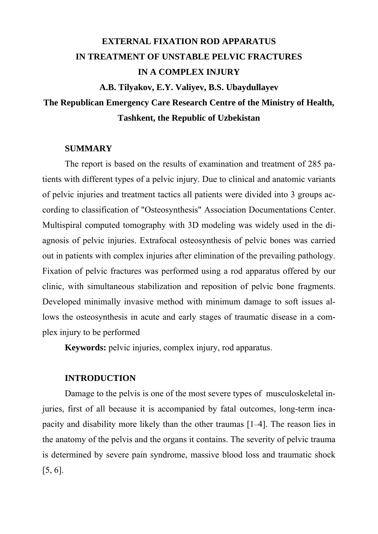# **EXTERNAL FIXATION ROD APPARATUS IN TREATMENT OF UNSTABLE PELVIC FRACTURES IN A COMPLEX INJURY**

**A.B. Tilyakov, E.Y. Valiyev, B.S. Ubaydullayev** 

## **The Republican Emergency Care Research Centre of the Ministry of Health, Tashkent, the Republic of Uzbekistan**

### **SUMMARY**

The report is based on the results of examination and treatment of 285 patients with different types of a pelvic injury. Due to clinical and anatomic variants of pelvic injuries and treatment tactics all patients were divided into 3 groups according to classification of "Osteosynthesis" Association Documentations Center. Multispiral computed tomography with 3D modeling was widely used in the diagnosis of pelvic injuries. Extrafocal osteosynthesis of pelvic bones was carried out in patients with complex injuries after elimination of the prevailing pathology. Fixation of pelvic fractures was performed using a rod apparatus offered by our clinic, with simultaneous stabilization and reposition of pelvic bone fragments. Developed minimally invasive method with minimum damage to soft issues allows the osteosynthesis in acute and early stages of traumatic disease in a complex injury to be performed

**Keywords:** pelvic injuries, complex injury, rod apparatus.

#### **INTRODUCTION**

Damage to the pelvis is one of the most severe types of musculoskeletal injuries, first of all because it is accompanied by fatal outcomes, long-term incapacity and disability more likely than the other traumas [1–4]. The reason lies in the anatomy of the pelvis and the organs it contains. The severity of pelvic trauma is determined by severe pain syndrome, massive blood loss and traumatic shock [5, 6].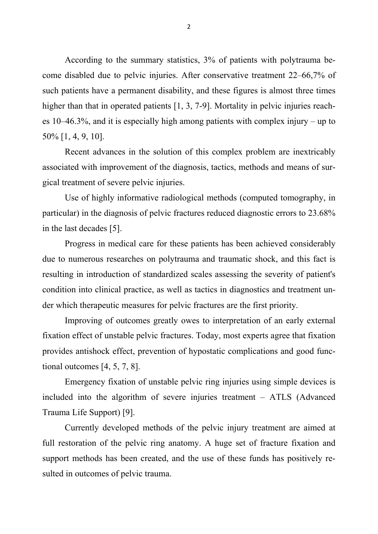According to the summary statistics, 3% of patients with polytrauma become disabled due to pelvic injuries. After conservative treatment 22–66,7% of such patients have a permanent disability, and these figures is almost three times higher than that in operated patients [1, 3, 7-9]. Mortality in pelvic injuries reaches 10–46.3%, and it is especially high among patients with complex injury – up to 50% [1, 4, 9, 10].

Recent advances in the solution of this complex problem are inextricably associated with improvement of the diagnosis, tactics, methods and means of surgical treatment of severe pelvic injuries.

Use of highly informative radiological methods (computed tomography, in particular) in the diagnosis of pelvic fractures reduced diagnostic errors to 23.68% in the last decades [5].

Progress in medical care for these patients has been achieved considerably due to numerous researches on polytrauma and traumatic shock, and this fact is resulting in introduction of standardized scales assessing the severity of patient's condition into clinical practice, as well as tactics in diagnostics and treatment under which therapeutic measures for pelvic fractures are the first priority.

Improving of outcomes greatly owes to interpretation of an early external fixation effect of unstable pelvic fractures. Today, most experts agree that fixation provides antishock effect, prevention of hypostatic complications and good functional outcomes [4, 5, 7, 8].

Emergency fixation of unstable pelvic ring injuries using simple devices is included into the algorithm of severe injuries treatment – ATLS (Advanced Trauma Life Support) [9].

Currently developed methods of the pelvic injury treatment are aimed at full restoration of the pelvic ring anatomy. A huge set of fracture fixation and support methods has been created, and the use of these funds has positively resulted in outcomes of pelvic trauma.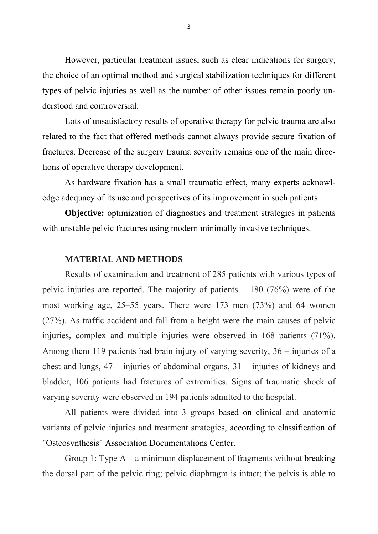However, particular treatment issues, such as clear indications for surgery, the choice of an optimal method and surgical stabilization techniques for different types of pelvic injuries as well as the number of other issues remain poorly understood and controversial.

Lots of unsatisfactory results of operative therapy for pelvic trauma are also related to the fact that offered methods cannot always provide secure fixation of fractures. Decrease of the surgery trauma severity remains one of the main directions of operative therapy development.

As hardware fixation has a small traumatic effect, many experts acknowledge adequacy of its use and perspectives of its improvement in such patients.

**Objective:** optimization of diagnostics and treatment strategies in patients with unstable pelvic fractures using modern minimally invasive techniques.

#### **MATERIAL AND METHODS**

Results of examination and treatment of 285 patients with various types of pelvic injuries are reported. The majority of patients – 180 (76%) were of the most working age, 25–55 years. There were 173 men (73%) and 64 women (27%). As traffic accident and fall from a height were the main causes of pelvic injuries, complex and multiple injuries were observed in 168 patients (71%). Among them 119 patients had brain injury of varying severity, 36 – injuries of a chest and lungs, 47 – injuries of abdominal organs, 31 – injuries of kidneys and bladder, 106 patients had fractures of extremities. Signs of traumatic shock of varying severity were observed in 194 patients admitted to the hospital.

All patients were divided into 3 groups based on clinical and anatomic variants of pelvic injuries and treatment strategies, according to classification of "Osteosynthesis" Association Documentations Center.

Group 1: Type  $A - a$  minimum displacement of fragments without breaking the dorsal part of the pelvic ring; pelvic diaphragm is intact; the pelvis is able to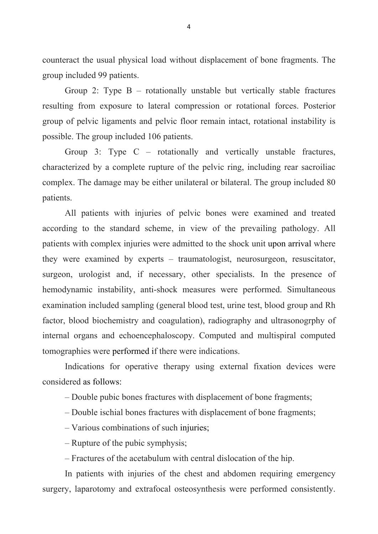counteract the usual physical load without displacement of bone fragments. The group included 99 patients.

Group 2: Type B – rotationally unstable but vertically stable fractures resulting from exposure to lateral compression or rotational forces. Posterior group of pelvic ligaments and pelvic floor remain intact, rotational instability is possible. The group included 106 patients.

Group 3: Type C – rotationally and vertically unstable fractures, characterized by a complete rupture of the pelvic ring, including rear sacroiliac complex. The damage may be either unilateral or bilateral. The group included 80 patients.

All patients with injuries of pelvic bones were examined and treated according to the standard scheme, in view of the prevailing pathology. All patients with complex injuries were admitted to the shock unit upon arrival where they were examined by experts – traumatologist, neurosurgeon, resuscitator, surgeon, urologist and, if necessary, other specialists. In the presence of hemodynamic instability, anti-shock measures were performed. Simultaneous examination included sampling (general blood test, urine test, blood group and Rh factor, blood biochemistry and coagulation), radiography and ultrasonogrphy of internal organs and echoencephaloscopy. Computed and multispiral computed tomographies were performed if there were indications.

Indications for operative therapy using external fixation devices were considered as follows:

- Double pubic bones fractures with displacement of bone fragments;
- Double ischial bones fractures with displacement of bone fragments;
- Various combinations of such injuries;
- Rupture of the pubic symphysis;
- Fractures of the acetabulum with central dislocation of the hip.

In patients with injuries of the chest and abdomen requiring emergency surgery, laparotomy and extrafocal osteosynthesis were performed consistently.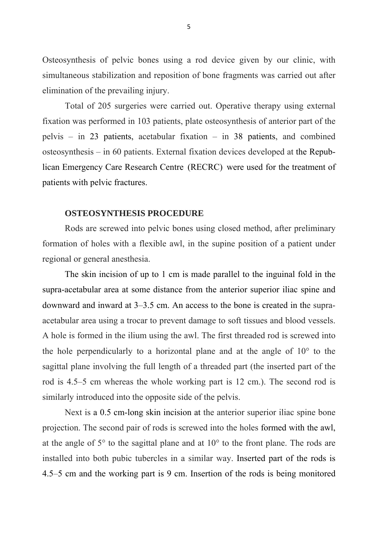Osteosynthesis of pelvic bones using a rod device given by our clinic, with simultaneous stabilization and reposition of bone fragments was carried out after elimination of the prevailing injury.

Total of 205 surgeries were carried out. Operative therapy using external fixation was performed in 103 patients, plate osteosynthesis of anterior part of the pelvis – in 23 patients, acetabular fixation – in 38 patients, and combined osteosynthesis – in 60 patients. External fixation devices developed at the Republican Emergency Care Research Centre (RECRC) were used for the treatment of patients with pelvic fractures.

#### **OSTEOSYNTHESIS PROCEDURE**

Rods are screwed into pelvic bones using closed method, after preliminary formation of holes with a flexible awl, in the supine position of a patient under regional or general anesthesia.

The skin incision of up to 1 cm is made parallel to the inguinal fold in the supra-acetabular area at some distance from the anterior superior iliac spine and downward and inward at 3–3.5 cm. An access to the bone is created in the supraacetabular area using a trocar to prevent damage to soft tissues and blood vessels. A hole is formed in the ilium using the awl. The first threaded rod is screwed into the hole perpendicularly to a horizontal plane and at the angle of 10° to the sagittal plane involving the full length of a threaded part (the inserted part of the rod is 4.5–5 cm whereas the whole working part is 12 cm.). The second rod is similarly introduced into the opposite side of the pelvis.

Next is a 0.5 cm-long skin incision at the anterior superior iliac spine bone projection. The second pair of rods is screwed into the holes formed with the awl, at the angle of 5° to the sagittal plane and at 10° to the front plane. The rods are installed into both pubic tubercles in a similar way. Inserted part of the rods is 4.5–5 cm and the working part is 9 cm. Insertion of the rods is being monitored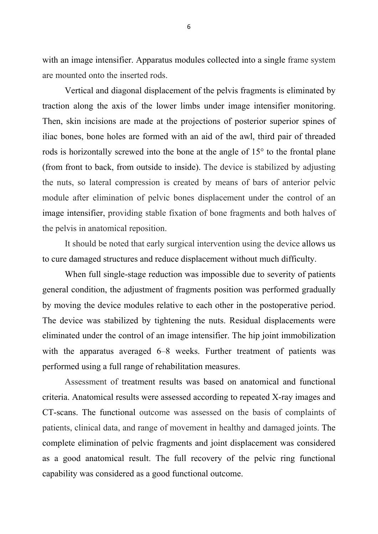with an image intensifier. Apparatus modules collected into a single frame system are mounted onto the inserted rods.

Vertical and diagonal displacement of the pelvis fragments is eliminated by traction along the axis of the lower limbs under image intensifier monitoring. Then, skin incisions are made at the projections of posterior superior spines of iliac bones, bone holes are formed with an aid of the awl, third pair of threaded rods is horizontally screwed into the bone at the angle of 15° to the frontal plane (from front to back, from outside to inside). The device is stabilized by adjusting the nuts, so lateral compression is created by means of bars of anterior pelvic module after elimination of pelvic bones displacement under the control of an image intensifier, providing stable fixation of bone fragments and both halves of the pelvis in anatomical reposition.

It should be noted that early surgical intervention using the device allows us to cure damaged structures and reduce displacement without much difficulty.

When full single-stage reduction was impossible due to severity of patients general condition, the adjustment of fragments position was performed gradually by moving the device modules relative to each other in the postoperative period. The device was stabilized by tightening the nuts. Residual displacements were eliminated under the control of an image intensifier. The hip joint immobilization with the apparatus averaged 6–8 weeks. Further treatment of patients was performed using a full range of rehabilitation measures.

Assessment of treatment results was based on anatomical and functional criteria. Anatomical results were assessed according to repeated X-ray images and CT-scans. The functional outcome was assessed on the basis of complaints of patients, clinical data, and range of movement in healthy and damaged joints. The complete elimination of pelvic fragments and joint displacement was considered as a good anatomical result. The full recovery of the pelvic ring functional capability was considered as a good functional outcome.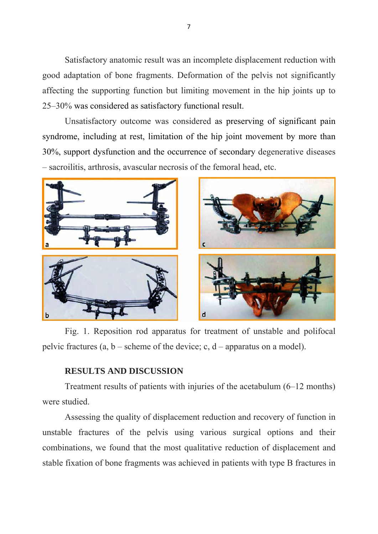Satisfactory anatomic result was an incomplete displacement reduction with good adaptation of bone fragments. Deformation of the pelvis not significantly affecting the supporting function but limiting movement in the hip joints up to 25–30% was considered as satisfactory functional result.

Unsatisfactory outcome was considered as preserving of significant pain syndrome, including at rest, limitation of the hip joint movement by more than 30%, support dysfunction and the occurrence of secondary degenerative diseases – sacroilitis, arthrosis, avascular necrosis of the femoral head, etc.



Fig. 1. Reposition rod apparatus for treatment of unstable and polifocal pelvic fractures  $(a, b - \text{scheme of the device}; c, d - \text{apparatus on a model}).$ 

## **RESULTS AND DISCUSSION**

Treatment results of patients with injuries of the acetabulum (6–12 months) were studied.

Assessing the quality of displacement reduction and recovery of function in unstable fractures of the pelvis using various surgical options and their combinations, we found that the most qualitative reduction of displacement and stable fixation of bone fragments was achieved in patients with type B fractures in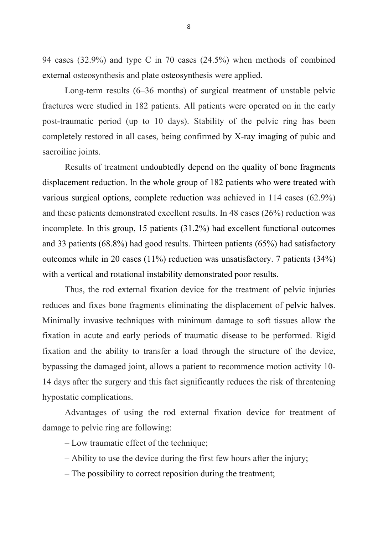94 cases (32.9%) and type C in 70 cases (24.5%) when methods of combined external osteosynthesis and plate osteosynthesis were applied.

Long-term results (6–36 months) of surgical treatment of unstable pelvic fractures were studied in 182 patients. All patients were operated on in the early post-traumatic period (up to 10 days). Stability of the pelvic ring has been completely restored in all cases, being confirmed by X-ray imaging of pubic and sacroiliac joints.

Results of treatment undoubtedly depend on the quality of bone fragments displacement reduction. In the whole group of 182 patients who were treated with various surgical options, complete reduction was achieved in 114 cases (62.9%) and these patients demonstrated excellent results. In 48 cases (26%) reduction was incomplete. In this group, 15 patients (31.2%) had excellent functional outcomes and 33 patients (68.8%) had good results. Thirteen patients (65%) had satisfactory outcomes while in 20 cases (11%) reduction was unsatisfactory. 7 patients (34%) with a vertical and rotational instability demonstrated poor results.

Thus, the rod external fixation device for the treatment of pelvic injuries reduces and fixes bone fragments eliminating the displacement of pelvic halves. Minimally invasive techniques with minimum damage to soft tissues allow the fixation in acute and early periods of traumatic disease to be performed. Rigid fixation and the ability to transfer a load through the structure of the device, bypassing the damaged joint, allows a patient to recommence motion activity 10- 14 days after the surgery and this fact significantly reduces the risk of threatening hypostatic complications.

Advantages of using the rod external fixation device for treatment of damage to pelvic ring are following:

– Low traumatic effect of the technique;

- Ability to use the device during the first few hours after the injury;
- The possibility to correct reposition during the treatment;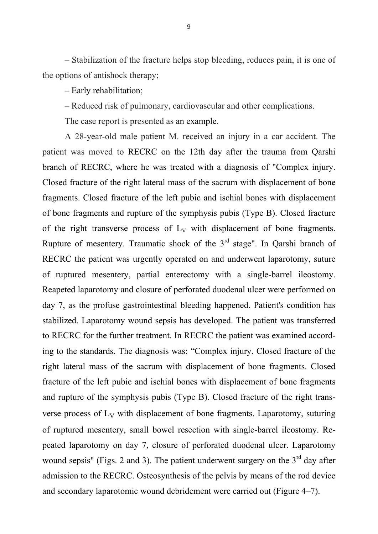– Stabilization of the fracture helps stop bleeding, reduces pain, it is one of the options of antishock therapy;

– Early rehabilitation;

– Reduced risk of pulmonary, cardiovascular and other complications.

The case report is presented as an example.

A 28-year-old male patient M. received an injury in a car accident. The patient was moved to RECRC on the 12th day after the trauma from Qarshi branch of RECRC, where he was treated with a diagnosis of "Complex injury. Closed fracture of the right lateral mass of the sacrum with displacement of bone fragments. Closed fracture of the left pubic and ischial bones with displacement of bone fragments and rupture of the symphysis pubis (Type B). Closed fracture of the right transverse process of  $L_V$  with displacement of bone fragments. Rupture of mesentery. Traumatic shock of the  $3<sup>rd</sup>$  stage". In Qarshi branch of RECRC the patient was urgently operated on and underwent laparotomy, suture of ruptured mesentery, partial enterectomy with a single-barrel ileostomy. Reapeted laparotomy and closure of perforated duodenal ulcer were performed on day 7, as the profuse gastrointestinal bleeding happened. Patient's condition has stabilized. Laparotomy wound sepsis has developed. The patient was transferred to RECRC for the further treatment. In RECRC the patient was examined according to the standards. The diagnosis was: "Complex injury. Closed fracture of the right lateral mass of the sacrum with displacement of bone fragments. Closed fracture of the left pubic and ischial bones with displacement of bone fragments and rupture of the symphysis pubis (Type B). Closed fracture of the right transverse process of  $L_V$  with displacement of bone fragments. Laparotomy, suturing of ruptured mesentery, small bowel resection with single-barrel ileostomy. Repeated laparotomy on day 7, closure of perforated duodenal ulcer. Laparotomy wound sepsis" (Figs. 2 and 3). The patient underwent surgery on the  $3<sup>rd</sup>$  day after admission to the RECRC. Osteosynthesis of the pelvis by means of the rod device and secondary laparotomic wound debridement were carried out (Figure 4–7).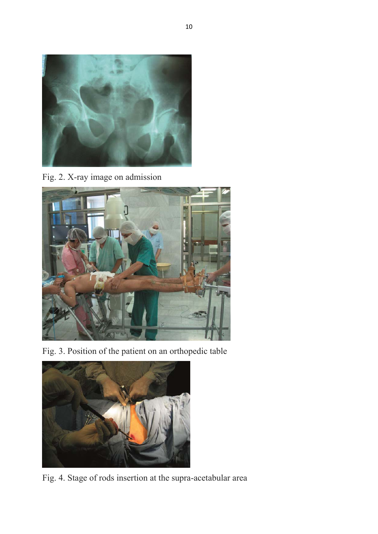

Fig. 2. X-ray image on admission



Fig. 3. Position of the patient on an orthopedic table



Fig. 4. Stage of rods insertion at the supra-acetabular area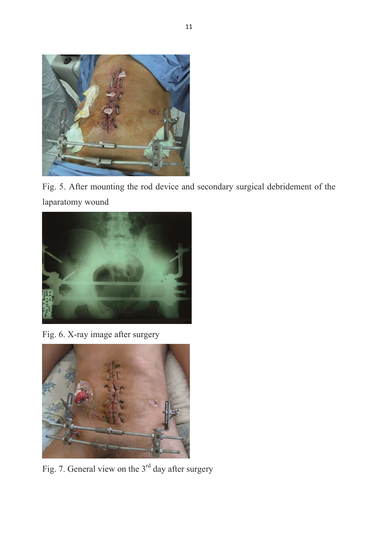

Fig. 5. After mounting the rod device and secondary surgical debridement of the laparatomy wound



Fig. 6. X-ray image after surgery



Fig. 7. General view on the 3<sup>rd</sup> day after surgery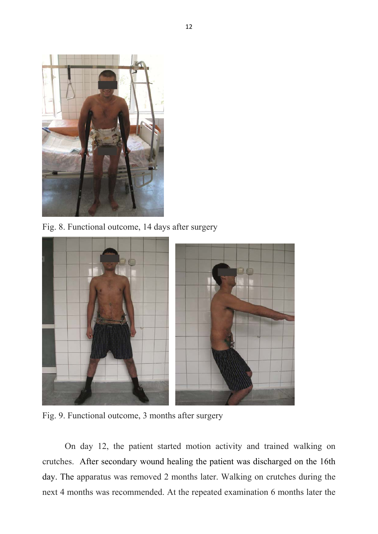

Fig. 8. Functional outcome, 14 days after surgery



Fig. 9. Functional outcome, 3 months after surgery

On day 12, the patient started motion activity and trained walking on crutches. After secondary wound healing the patient was discharged on the 16th day. The apparatus was removed 2 months later. Walking on crutches during the next 4 months was recommended. At the repeated examination 6 months later the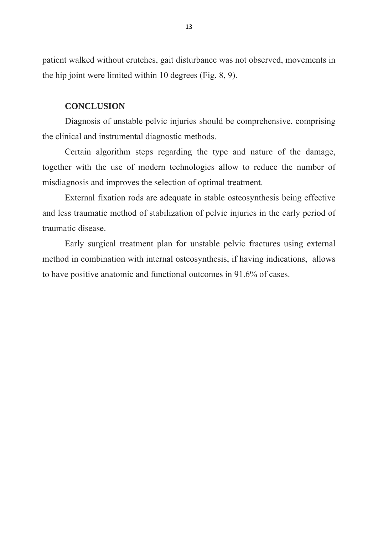patient walked without crutches, gait disturbance was not observed, movements in the hip joint were limited within 10 degrees (Fig. 8, 9).

#### **CONCLUSION**

Diagnosis of unstable pelvic injuries should be comprehensive, comprising the clinical and instrumental diagnostic methods.

Certain algorithm steps regarding the type and nature of the damage, together with the use of modern technologies allow to reduce the number of misdiagnosis and improves the selection of optimal treatment.

External fixation rods are adequate in stable osteosynthesis being effective and less traumatic method of stabilization of pelvic injuries in the early period of traumatic disease.

Early surgical treatment plan for unstable pelvic fractures using external method in combination with internal osteosynthesis, if having indications, allows to have positive anatomic and functional outcomes in 91.6% of cases.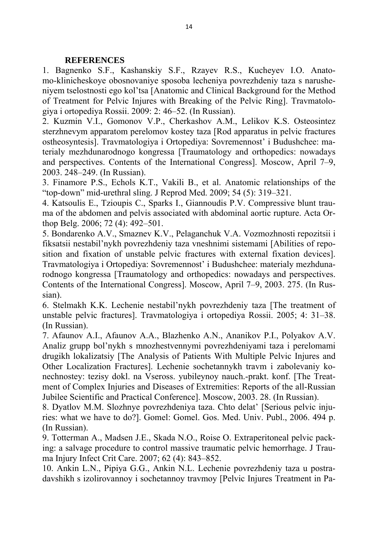## **REFERENCES**

1. Bagnenko S.F., Kashanskiy S.F., Rzayev R.S., Kucheyev I.O. Anatomo-klinicheskoye obosnovaniye sposoba lecheniya povrezhdeniy taza s narusheniyem tselostnosti ego kol'tsa [Anatomic and Clinical Background for the Method of Treatment for Pelvic Injures with Breaking of the Pelvic Ring]. Travmatologiya i ortopediya Rossii. 2009: 2: 46–52. (In Russian).

2. Kuzmin V.I., Gomonov V.P., Cherkashov A.M., Lelikov K.S. Osteosintez sterzhnevym apparatom perelomov kostey taza [Rod apparatus in pelvic fractures ostheosyntesis]. Travmatologiya i Ortopediya: Sovremennost' i Budushchee: materialy mezhdunarodnogo kongressa [Traumatology and orthopedics: nowadays and perspectives. Contents of the International Congress]. Moscow, April 7–9, 2003. 248–249. (In Russian).

3. Finamore P.S., Echols K.T., Vakili B., et al. Anatomic relationships of the "top-down" mid-urethral sling. J Reprod Med. 2009; 54 (5): 319–321.

4. Katsoulis E., Tzioupis C., Sparks I., Giannoudis P.V. Compressive blunt trauma of the abdomen and pelvis associated with abdominal aortic rupture. Acta Orthop Belg. 2006; 72 (4): 492–501.

5. Bondarenko A.V., Smaznev K.V., Pelaganchuk V.A. Vozmozhnosti repozitsii i fiksatsii nestabil'nykh povrezhdeniy taza vneshnimi sistemami [Abilities of reposition and fixation of unstable pelvic fractures with external fixation devices]. Travmatologiya i Ortopediya: Sovremennost' i Budushchee: materialy mezhdunarodnogo kongressa [Traumatology and orthopedics: nowadays and perspectives. Contents of the International Congress]. Moscow, April 7–9, 2003. 275. (In Russian).

6. Stelmakh K.K. Lechenie nestabil'nykh povrezhdeniy taza [The treatment of unstable pelvic fractures]. Travmatologiya i ortopediya Rossii. 2005; 4: 31–38. (In Russian).

7. Afaunov A.I., Afaunov A.A., Blazhenko A.N., Ananikov P.I., Polyakov A.V. Analiz grupp bol'nykh s mnozhestvennymi povrezhdeniyami taza i perelomami drugikh lokalizatsiy [The Analysis of Patients With Multiple Pelvic Injures and Other Localization Fractures]. Lechenie sochetannykh travm i zabolevaniy konechnostey: tezisy dokl. na Vseross. yubileynoy nauch.-prakt. konf. [The Treatment of Complex Injuries and Diseases of Extremities: Reports of the all-Russian Jubilee Scientific and Practical Conference]. Moscow, 2003. 28. (In Russian).

8. Dyatlov M.M. Slozhnye povrezhdeniya taza. Chto delat' [Serious pelvic injuries: what we have to do?]. Gomel: Gomel. Gos. Med. Univ. Publ., 2006. 494 p. (In Russian).

9. Totterman A., Madsen J.E., Skada N.O., Roise O. Extraperitoneal pelvic packing: a salvage procedure to control massive traumatic pelvic hemorrhage. J Trauma Injury Infect Crit Care. 2007; 62 (4): 843–852.

10. Ankin L.N., Pipiya G.G., Ankin N.L. Lechenie povrezhdeniy taza u postradavshikh s izolirovannoy i sochetannoy travmoy [Pelvic Injures Treatment in Pa